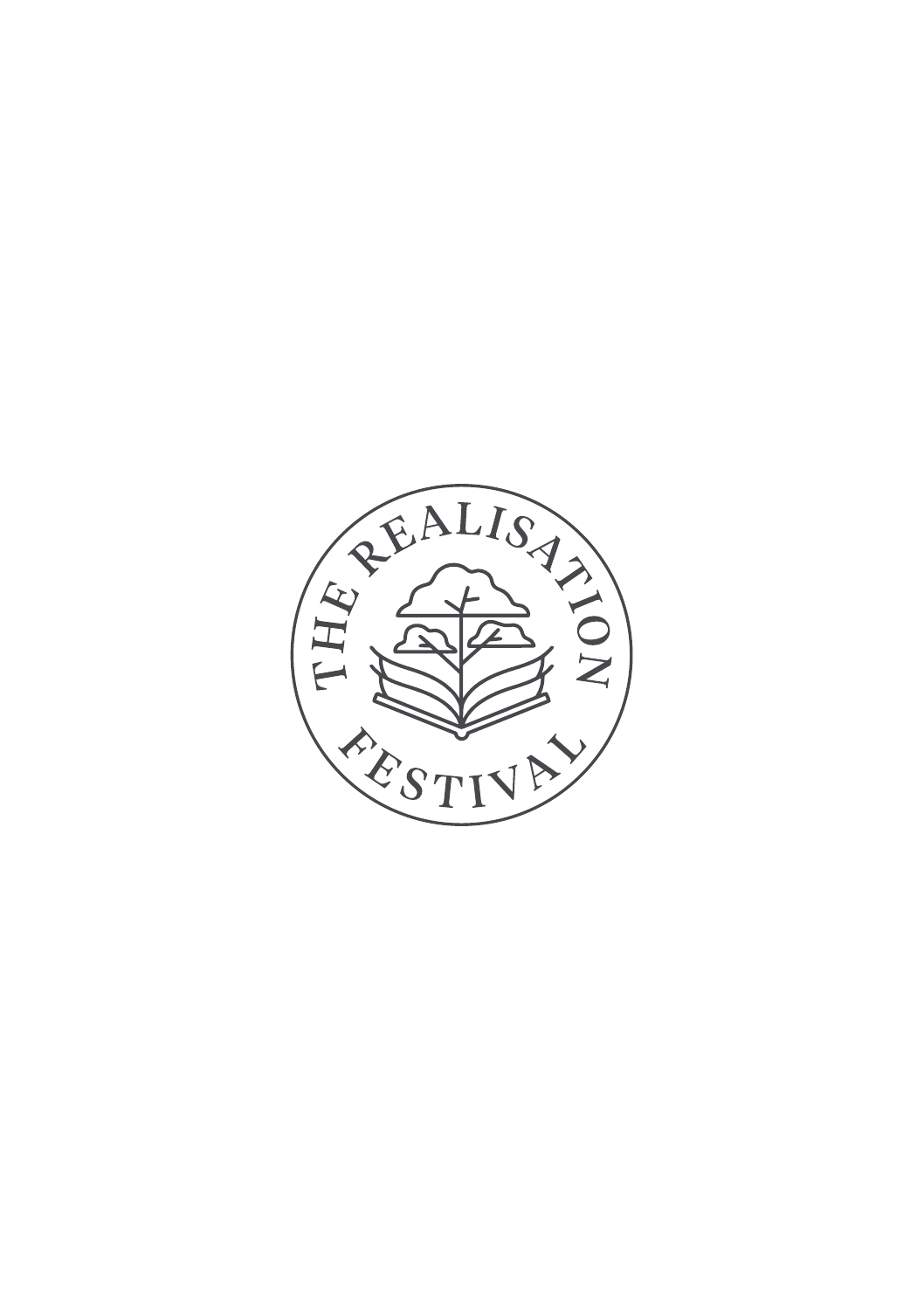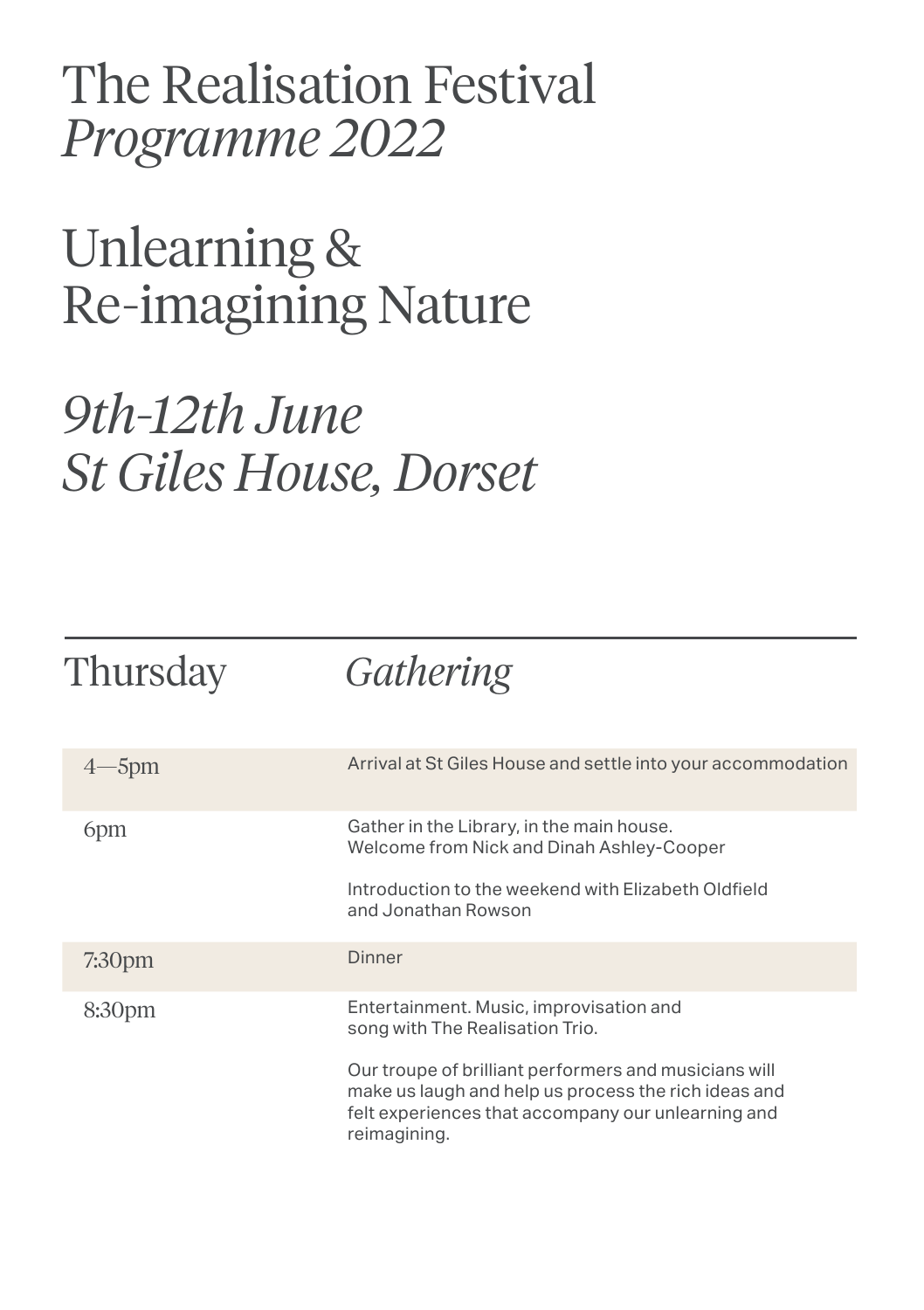The Realisation Festival *Programme 2022*

Unlearning & Re-imagining Nature

## *9th-12th June St Giles House, Dorset*

## Thursday *Gathering*

| -5pm               | Arrival at St Giles House and settle into your accommodation                                                                                                                        |
|--------------------|-------------------------------------------------------------------------------------------------------------------------------------------------------------------------------------|
| 6 <sub>pm</sub>    | Gather in the Library, in the main house.<br>Welcome from Nick and Dinah Ashley-Cooper                                                                                              |
|                    | Introduction to the weekend with Elizabeth Oldfield<br>and Jonathan Rowson                                                                                                          |
| 7:30 <sub>pm</sub> | <b>Dinner</b>                                                                                                                                                                       |
| 8:30 <sub>pm</sub> | Entertainment. Music, improvisation and<br>song with The Realisation Trio.                                                                                                          |
|                    | Our troupe of brilliant performers and musicians will<br>make us laugh and help us process the rich ideas and<br>felt experiences that accompany our unlearning and<br>reimagining. |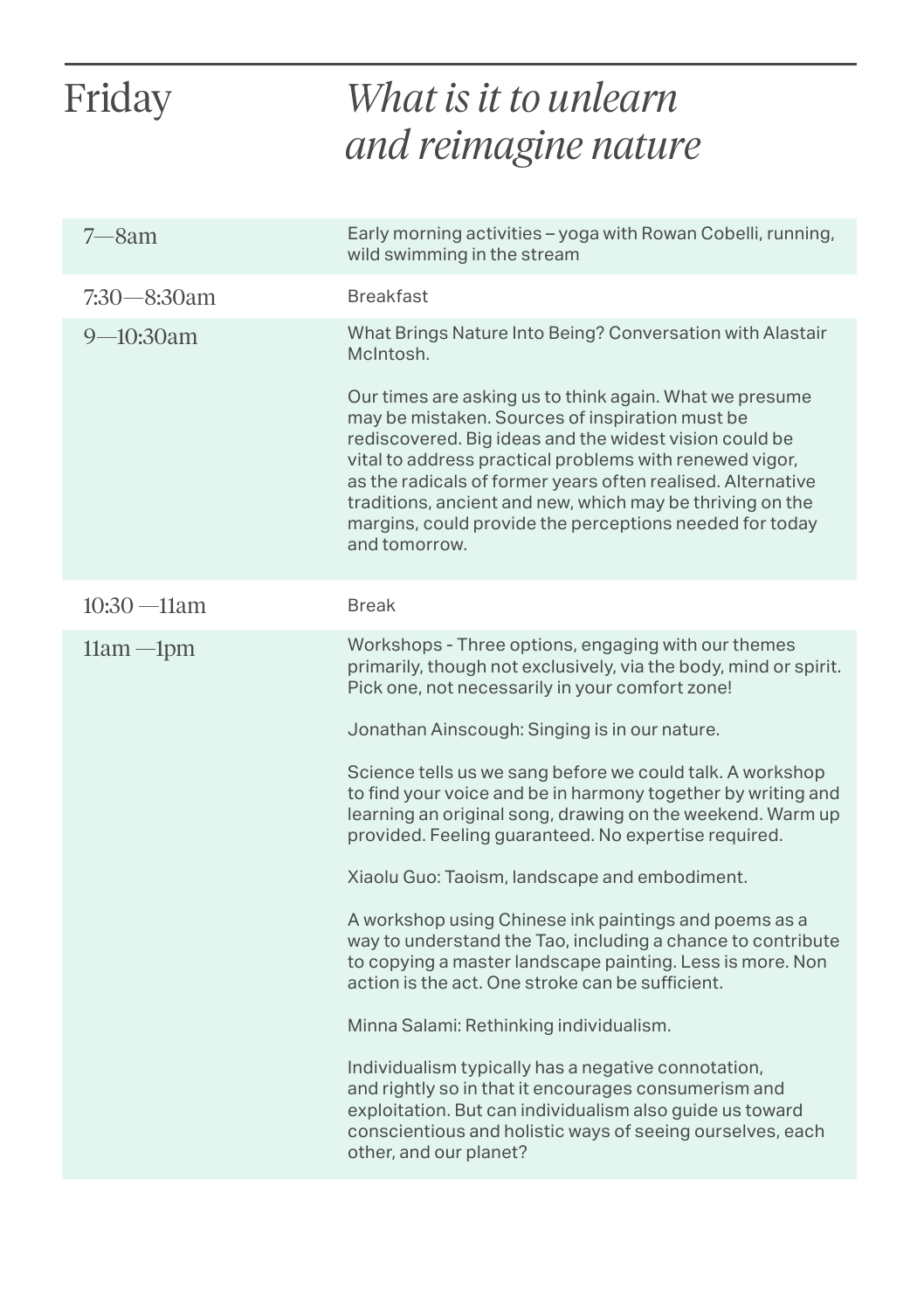| Friday         | What is it to unlearn                                                                                                                                                                                                                                                                                                                                                                                                                   |
|----------------|-----------------------------------------------------------------------------------------------------------------------------------------------------------------------------------------------------------------------------------------------------------------------------------------------------------------------------------------------------------------------------------------------------------------------------------------|
|                | and reimagine nature                                                                                                                                                                                                                                                                                                                                                                                                                    |
| $7 - 8$ am     | Early morning activities – yoga with Rowan Cobelli, running,<br>wild swimming in the stream                                                                                                                                                                                                                                                                                                                                             |
| $7:30-8:30$ am | <b>Breakfast</b>                                                                                                                                                                                                                                                                                                                                                                                                                        |
| $9 - 10:30$ am | What Brings Nature Into Being? Conversation with Alastair<br>McIntosh.                                                                                                                                                                                                                                                                                                                                                                  |
|                | Our times are asking us to think again. What we presume<br>may be mistaken. Sources of inspiration must be<br>rediscovered. Big ideas and the widest vision could be<br>vital to address practical problems with renewed vigor,<br>as the radicals of former years often realised. Alternative<br>traditions, ancient and new, which may be thriving on the<br>margins, could provide the perceptions needed for today<br>and tomorrow. |
| $10:30 - 11am$ | <b>Break</b>                                                                                                                                                                                                                                                                                                                                                                                                                            |
| $11am - 1pm$   | Workshops - Three options, engaging with our themes<br>primarily, though not exclusively, via the body, mind or spirit.<br>Pick one, not necessarily in your comfort zone!                                                                                                                                                                                                                                                              |
|                | Jonathan Ainscough: Singing is in our nature.                                                                                                                                                                                                                                                                                                                                                                                           |
|                | Science tells us we sang before we could talk. A workshop<br>to find your voice and be in harmony together by writing and<br>learning an original song, drawing on the weekend. Warm up<br>provided. Feeling guaranteed. No expertise required.                                                                                                                                                                                         |
|                | Xiaolu Guo: Taoism, landscape and embodiment.                                                                                                                                                                                                                                                                                                                                                                                           |
|                | A workshop using Chinese ink paintings and poems as a<br>way to understand the Tao, including a chance to contribute<br>to copying a master landscape painting. Less is more. Non<br>action is the act. One stroke can be sufficient.                                                                                                                                                                                                   |
|                | Minna Salami: Rethinking individualism.                                                                                                                                                                                                                                                                                                                                                                                                 |
|                | Individualism typically has a negative connotation,<br>and rightly so in that it encourages consumerism and<br>exploitation. But can individualism also guide us toward<br>conscientious and holistic ways of seeing ourselves, each<br>other, and our planet?                                                                                                                                                                          |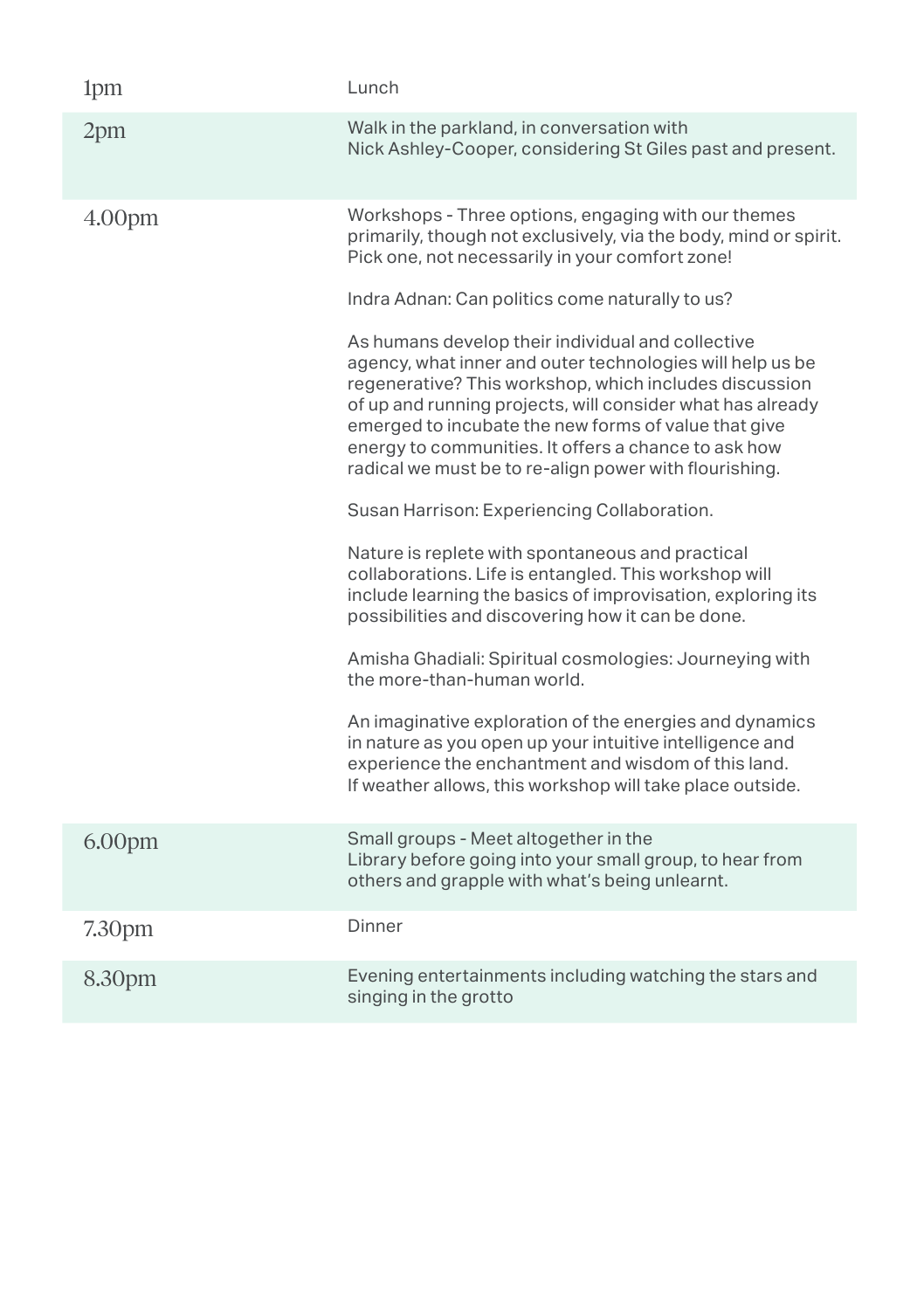| 1pm                | Lunch                                                                                                                                                                                                                                                                                                                                                                                                                                                                                                                                                                                                                                                                                                                                                                                                                                                                                                                                                                                                                                                                                                                                                                                                                                                                 |
|--------------------|-----------------------------------------------------------------------------------------------------------------------------------------------------------------------------------------------------------------------------------------------------------------------------------------------------------------------------------------------------------------------------------------------------------------------------------------------------------------------------------------------------------------------------------------------------------------------------------------------------------------------------------------------------------------------------------------------------------------------------------------------------------------------------------------------------------------------------------------------------------------------------------------------------------------------------------------------------------------------------------------------------------------------------------------------------------------------------------------------------------------------------------------------------------------------------------------------------------------------------------------------------------------------|
| 2pm                | Walk in the parkland, in conversation with<br>Nick Ashley-Cooper, considering St Giles past and present.                                                                                                                                                                                                                                                                                                                                                                                                                                                                                                                                                                                                                                                                                                                                                                                                                                                                                                                                                                                                                                                                                                                                                              |
| 4.00 <sub>pm</sub> | Workshops - Three options, engaging with our themes<br>primarily, though not exclusively, via the body, mind or spirit.<br>Pick one, not necessarily in your comfort zone!<br>Indra Adnan: Can politics come naturally to us?<br>As humans develop their individual and collective<br>agency, what inner and outer technologies will help us be<br>regenerative? This workshop, which includes discussion<br>of up and running projects, will consider what has already<br>emerged to incubate the new forms of value that give<br>energy to communities. It offers a chance to ask how<br>radical we must be to re-align power with flourishing.<br>Susan Harrison: Experiencing Collaboration.<br>Nature is replete with spontaneous and practical<br>collaborations. Life is entangled. This workshop will<br>include learning the basics of improvisation, exploring its<br>possibilities and discovering how it can be done.<br>Amisha Ghadiali: Spiritual cosmologies: Journeying with<br>the more-than-human world.<br>An imaginative exploration of the energies and dynamics<br>in nature as you open up your intuitive intelligence and<br>experience the enchantment and wisdom of this land.<br>If weather allows, this workshop will take place outside. |
| 6.00 <sub>pm</sub> | Small groups - Meet altogether in the<br>Library before going into your small group, to hear from<br>others and grapple with what's being unlearnt.                                                                                                                                                                                                                                                                                                                                                                                                                                                                                                                                                                                                                                                                                                                                                                                                                                                                                                                                                                                                                                                                                                                   |
| 7.30pm             | Dinner                                                                                                                                                                                                                                                                                                                                                                                                                                                                                                                                                                                                                                                                                                                                                                                                                                                                                                                                                                                                                                                                                                                                                                                                                                                                |
| 8.30pm             | Evening entertainments including watching the stars and<br>singing in the grotto                                                                                                                                                                                                                                                                                                                                                                                                                                                                                                                                                                                                                                                                                                                                                                                                                                                                                                                                                                                                                                                                                                                                                                                      |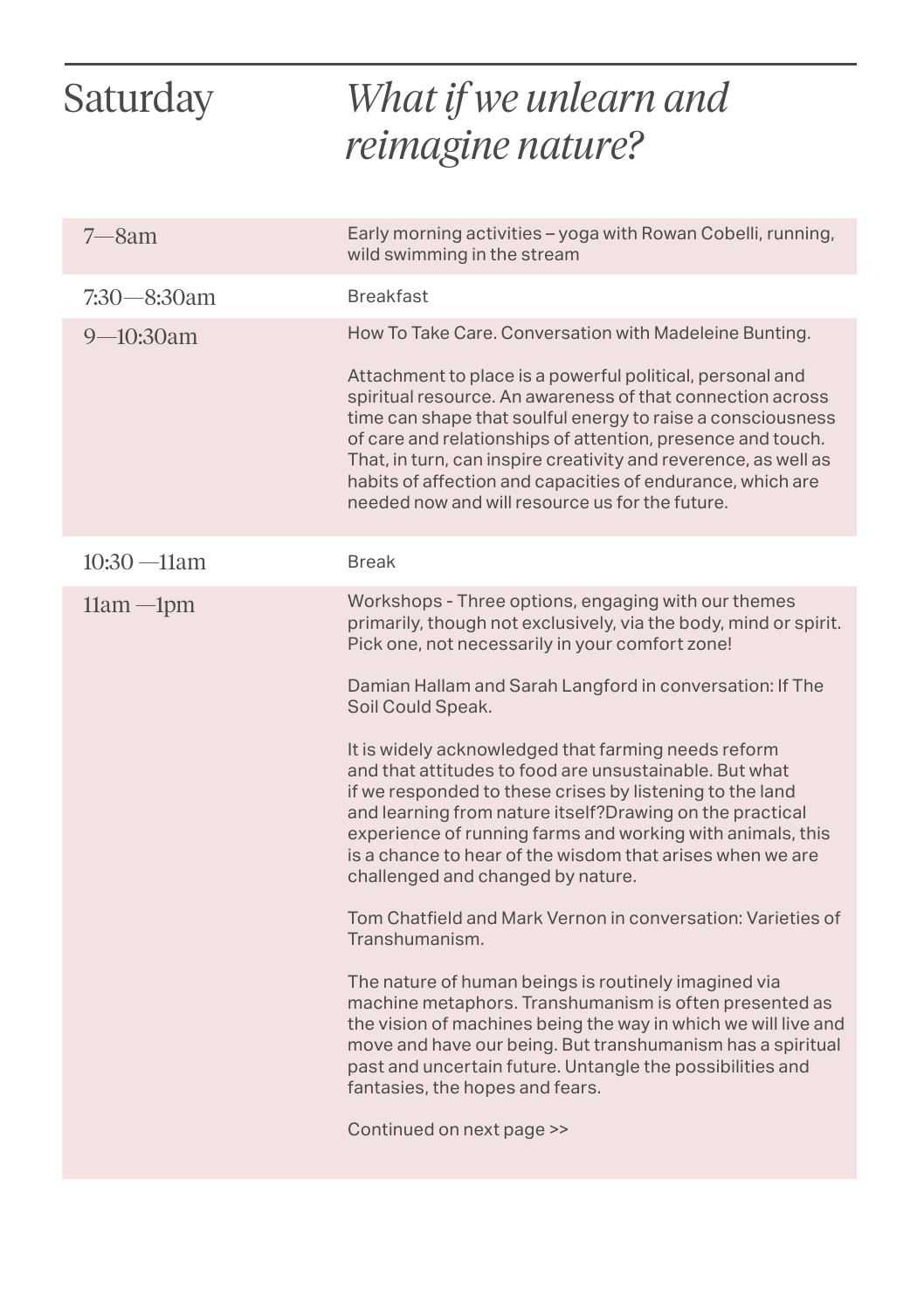| Saturday       | What if we unlearn and<br>reimagine nature?                                                                                                                                                                                                                                                                                                                                                                                                                                                                                                                                                                                                                                                                                                                                                                   |
|----------------|---------------------------------------------------------------------------------------------------------------------------------------------------------------------------------------------------------------------------------------------------------------------------------------------------------------------------------------------------------------------------------------------------------------------------------------------------------------------------------------------------------------------------------------------------------------------------------------------------------------------------------------------------------------------------------------------------------------------------------------------------------------------------------------------------------------|
| $7 - 8$ am     | Early morning activities - yoga with Rowan Cobelli, running,<br>wild swimming in the stream                                                                                                                                                                                                                                                                                                                                                                                                                                                                                                                                                                                                                                                                                                                   |
| 7:30—8:30am    | <b>Breakfast</b>                                                                                                                                                                                                                                                                                                                                                                                                                                                                                                                                                                                                                                                                                                                                                                                              |
| $9 - 10:30$ am | How To Take Care. Conversation with Madeleine Bunting.                                                                                                                                                                                                                                                                                                                                                                                                                                                                                                                                                                                                                                                                                                                                                        |
|                | Attachment to place is a powerful political, personal and<br>spiritual resource. An awareness of that connection across<br>time can shape that soulful energy to raise a consciousness<br>of care and relationships of attention, presence and touch.<br>That, in turn, can inspire creativity and reverence, as well as<br>habits of affection and capacities of endurance, which are<br>needed now and will resource us for the future.                                                                                                                                                                                                                                                                                                                                                                     |
| $10:30 - 11am$ | <b>Break</b>                                                                                                                                                                                                                                                                                                                                                                                                                                                                                                                                                                                                                                                                                                                                                                                                  |
| $11am - 1pm$   | Workshops - Three options, engaging with our themes<br>primarily, though not exclusively, via the body, mind or spirit.<br>Pick one, not necessarily in your comfort zone!<br>Damian Hallam and Sarah Langford in conversation: If The<br>Soil Could Speak.<br>It is widely acknowledged that farming needs reform<br>and that attitudes to food are unsustainable. But what<br>if we responded to these crises by listening to the land<br>and learning from nature itself?Drawing on the practical<br>experience of running farms and working with animals, this<br>is a chance to hear of the wisdom that arises when we are<br>challenged and changed by nature.<br>Tom Chatfield and Mark Vernon in conversation: Varieties of<br>Transhumanism.<br>The nature of human beings is routinely imagined via |
|                | machine metaphors. Transhumanism is often presented as<br>the vision of machines being the way in which we will live and<br>move and have our being. But transhumanism has a spiritual<br>past and uncertain future. Untangle the possibilities and<br>fantasies, the hopes and fears.                                                                                                                                                                                                                                                                                                                                                                                                                                                                                                                        |
|                | Continued on next page >>                                                                                                                                                                                                                                                                                                                                                                                                                                                                                                                                                                                                                                                                                                                                                                                     |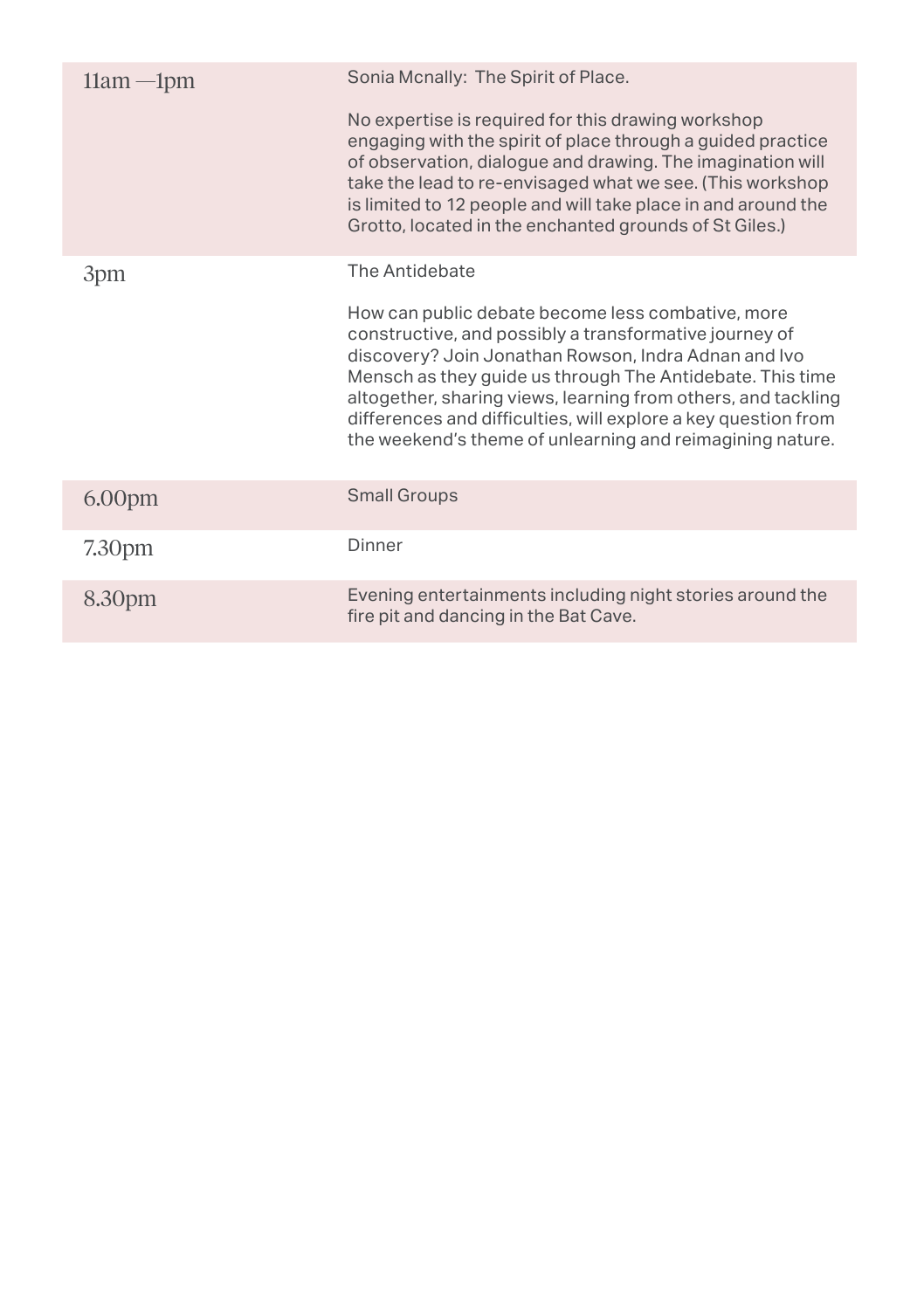| $11am - 1pm$       | Sonia Mcnally: The Spirit of Place.                                                                                                                                                                                                                                                                                                                                                                                              |
|--------------------|----------------------------------------------------------------------------------------------------------------------------------------------------------------------------------------------------------------------------------------------------------------------------------------------------------------------------------------------------------------------------------------------------------------------------------|
|                    | No expertise is required for this drawing workshop<br>engaging with the spirit of place through a guided practice<br>of observation, dialogue and drawing. The imagination will<br>take the lead to re-envisaged what we see. (This workshop<br>is limited to 12 people and will take place in and around the<br>Grotto, located in the enchanted grounds of St Giles.)                                                          |
| 3pm                | The Antidebate                                                                                                                                                                                                                                                                                                                                                                                                                   |
|                    | How can public debate become less combative, more<br>constructive, and possibly a transformative journey of<br>discovery? Join Jonathan Rowson, Indra Adnan and Ivo<br>Mensch as they guide us through The Antidebate. This time<br>altogether, sharing views, learning from others, and tackling<br>differences and difficulties, will explore a key question from<br>the weekend's theme of unlearning and reimagining nature. |
| 6.00 <sub>pm</sub> | <b>Small Groups</b>                                                                                                                                                                                                                                                                                                                                                                                                              |
| 7.30 <sub>pm</sub> | Dinner                                                                                                                                                                                                                                                                                                                                                                                                                           |
| 8.30pm             | Evening entertainments including night stories around the<br>fire pit and dancing in the Bat Cave.                                                                                                                                                                                                                                                                                                                               |